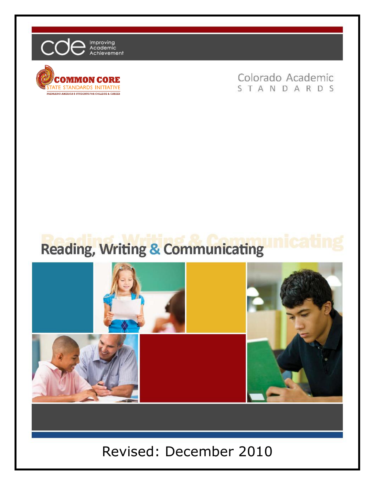



Colorado Academic STANDARDS

# **Reading, Writing & Communicating**



# Revised: December 2010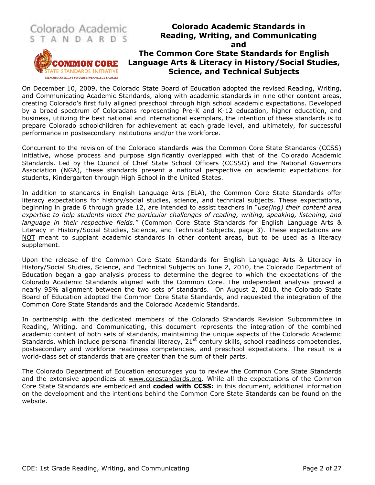



## **Colorado Academic Standards in Reading, Writing, and Communicating and The Common Core State Standards for English Language Arts & Literacy in History/Social Studies, Science, and Technical Subjects**

On December 10, 2009, the Colorado State Board of Education adopted the revised Reading, Writing, and Communicating Academic Standards, along with academic standards in nine other content areas, creating Colorado's first fully aligned preschool through high school academic expectations. Developed by a broad spectrum of Coloradans representing Pre-K and K-12 education, higher education, and business, utilizing the best national and international exemplars, the intention of these standards is to prepare Colorado schoolchildren for achievement at each grade level, and ultimately, for successful performance in postsecondary institutions and/or the workforce.

Concurrent to the revision of the Colorado standards was the Common Core State Standards (CCSS) initiative, whose process and purpose significantly overlapped with that of the Colorado Academic Standards. Led by the Council of Chief State School Officers (CCSSO) and the National Governors Association (NGA), these standards present a national perspective on academic expectations for students, Kindergarten through High School in the United States.

In addition to standards in English Language Arts (ELA), the Common Core State Standards offer literacy expectations for history/social studies, science, and technical subjects. These expectations, beginning in grade 6 through grade 12, are intended to assist teachers in "*use(ing) their content area expertise to help students meet the particular challenges of reading, writing, speaking, listening, and language in their respective fields."* (Common Core State Standards for English Language Arts & Literacy in History/Social Studies, Science, and Technical Subjects, page 3). These expectations are NOT meant to supplant academic standards in other content areas, but to be used as a literacy supplement.

Upon the release of the Common Core State Standards for English Language Arts & Literacy in History/Social Studies, Science, and Technical Subjects on June 2, 2010, the Colorado Department of Education began a gap analysis process to determine the degree to which the expectations of the Colorado Academic Standards aligned with the Common Core. The independent analysis proved a nearly 95% alignment between the two sets of standards. On August 2, 2010, the Colorado State Board of Education adopted the Common Core State Standards, and requested the integration of the Common Core State Standards and the Colorado Academic Standards.

In partnership with the dedicated members of the Colorado Standards Revision Subcommittee in Reading, Writing, and Communicating, this document represents the integration of the combined academic content of both sets of standards, maintaining the unique aspects of the Colorado Academic Standards, which include personal financial literacy, 21<sup>st</sup> century skills, school readiness competencies, postsecondary and workforce readiness competencies, and preschool expectations. The result is a world-class set of standards that are greater than the sum of their parts.

The Colorado Department of Education encourages you to review the Common Core State Standards and the extensive appendices at [www.corestandards.org.](http://www.corestandards.org/) While all the expectations of the Common Core State Standards are embedded and **coded with CCSS:** in this document, additional information on the development and the intentions behind the Common Core State Standards can be found on the website.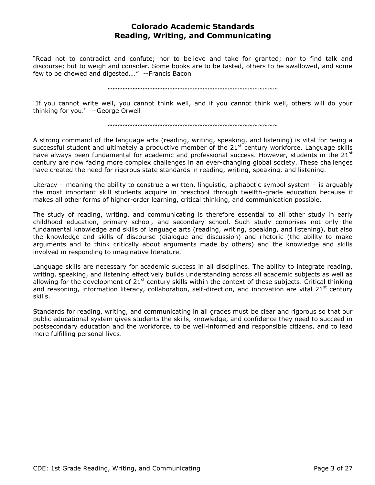## **Colorado Academic Standards Reading, Writing, and Communicating**

"Read not to contradict and confute; nor to believe and take for granted; nor to find talk and discourse; but to weigh and consider. Some books are to be tasted, others to be swallowed, and some few to be chewed and digested…." --Francis Bacon

~~~~~~~~~~~~~~~~~~~~~~~~~~~~~~~~~~

"If you cannot write well, you cannot think well, and if you cannot think well, others will do your thinking for you." --George Orwell

~~~~~~~~~~~~~~~~~~~~~~~~~~~~~~~~~~

A strong command of the language arts (reading, writing, speaking, and listening) is vital for being a successful student and ultimately a productive member of the  $21<sup>st</sup>$  century workforce. Language skills have always been fundamental for academic and professional success. However, students in the  $21<sup>st</sup>$ century are now facing more complex challenges in an ever-changing global society. These challenges have created the need for rigorous state standards in reading, writing, speaking, and listening.

Literacy – meaning the ability to construe a written, linguistic, alphabetic symbol system – is arguably the most important skill students acquire in preschool through twelfth-grade education because it makes all other forms of higher-order learning, critical thinking, and communication possible.

The study of reading, writing, and communicating is therefore essential to all other study in early childhood education, primary school, and secondary school. Such study comprises not only the fundamental knowledge and skills of language arts (reading, writing, speaking, and listening), but also the knowledge and skills of discourse (dialogue and discussion) and rhetoric (the ability to make arguments and to think critically about arguments made by others) and the knowledge and skills involved in responding to imaginative literature.

Language skills are necessary for academic success in all disciplines. The ability to integrate reading, writing, speaking, and listening effectively builds understanding across all academic subjects as well as allowing for the development of  $21<sup>st</sup>$  century skills within the context of these subjects. Critical thinking and reasoning, information literacy, collaboration, self-direction, and innovation are vital 21<sup>st</sup> century skills.

Standards for reading, writing, and communicating in all grades must be clear and rigorous so that our public educational system gives students the skills, knowledge, and confidence they need to succeed in postsecondary education and the workforce, to be well-informed and responsible citizens, and to lead more fulfilling personal lives.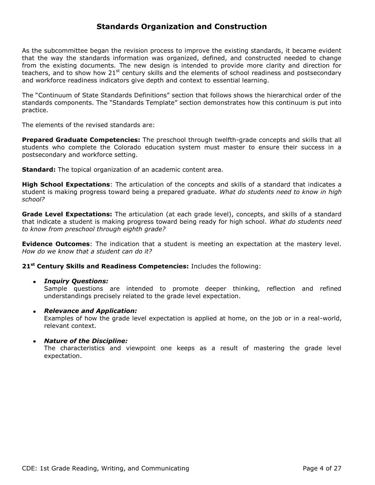## **Standards Organization and Construction**

As the subcommittee began the revision process to improve the existing standards, it became evident that the way the standards information was organized, defined, and constructed needed to change from the existing documents. The new design is intended to provide more clarity and direction for teachers, and to show how 21<sup>st</sup> century skills and the elements of school readiness and postsecondary and workforce readiness indicators give depth and context to essential learning.

The "Continuum of State Standards Definitions" section that follows shows the hierarchical order of the standards components. The "Standards Template" section demonstrates how this continuum is put into practice.

The elements of the revised standards are:

**Prepared Graduate Competencies:** The preschool through twelfth-grade concepts and skills that all students who complete the Colorado education system must master to ensure their success in a postsecondary and workforce setting.

**Standard:** The topical organization of an academic content area.

**High School Expectations**: The articulation of the concepts and skills of a standard that indicates a student is making progress toward being a prepared graduate. *What do students need to know in high school?*

**Grade Level Expectations:** The articulation (at each grade level), concepts, and skills of a standard that indicate a student is making progress toward being ready for high school. *What do students need to know from preschool through eighth grade?*

**Evidence Outcomes**: The indication that a student is meeting an expectation at the mastery level. *How do we know that a student can do it?*

**21st Century Skills and Readiness Competencies:** Includes the following:

#### *Inquiry Questions:*

Sample questions are intended to promote deeper thinking, reflection and refined understandings precisely related to the grade level expectation.

#### *Relevance and Application:*  $\bullet$

Examples of how the grade level expectation is applied at home, on the job or in a real-world, relevant context.

#### *Nature of the Discipline:*

The characteristics and viewpoint one keeps as a result of mastering the grade level expectation.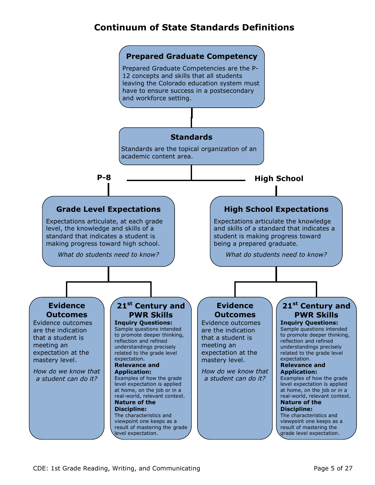## **Continuum of State Standards Definitions**

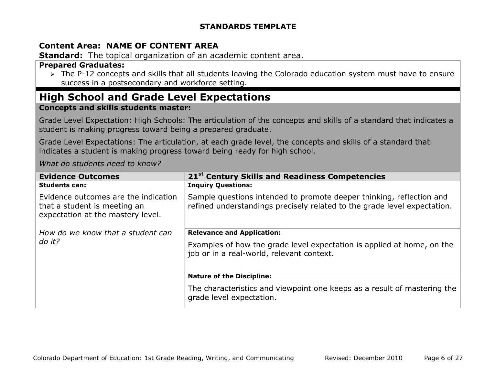## **STANDARDS TEMPLATE**

## **Content Area: NAME OF CONTENT AREA**

**Standard:** The topical organization of an academic content area.

## **Prepared Graduates:**

> The P-12 concepts and skills that all students leaving the Colorado education system must have to ensure success in a postsecondary and workforce setting.

## **High School and Grade Level Expectations**

## **Concepts and skills students master:**

Grade Level Expectation: High Schools: The articulation of the concepts and skills of a standard that indicates a student is making progress toward being a prepared graduate.

Grade Level Expectations: The articulation, at each grade level, the concepts and skills of a standard that indicates a student is making progress toward being ready for high school.

*What do students need to know?*

| <b>Evidence Outcomes</b>                                                                                  | 21 <sup>st</sup> Century Skills and Readiness Competencies                                                                                       |
|-----------------------------------------------------------------------------------------------------------|--------------------------------------------------------------------------------------------------------------------------------------------------|
| <b>Students can:</b>                                                                                      | <b>Inquiry Questions:</b>                                                                                                                        |
| Evidence outcomes are the indication<br>that a student is meeting an<br>expectation at the mastery level. | Sample questions intended to promote deeper thinking, reflection and<br>refined understandings precisely related to the grade level expectation. |
| How do we know that a student can                                                                         | <b>Relevance and Application:</b>                                                                                                                |
| do it?                                                                                                    | Examples of how the grade level expectation is applied at home, on the<br>job or in a real-world, relevant context.                              |
|                                                                                                           | <b>Nature of the Discipline:</b>                                                                                                                 |
|                                                                                                           | The characteristics and viewpoint one keeps as a result of mastering the<br>grade level expectation.                                             |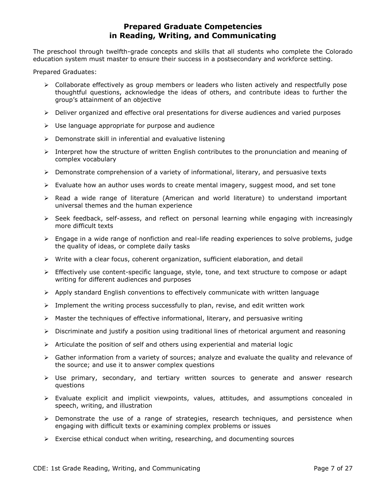## **Prepared Graduate Competencies in Reading, Writing, and Communicating**

The preschool through twelfth-grade concepts and skills that all students who complete the Colorado education system must master to ensure their success in a postsecondary and workforce setting.

Prepared Graduates:

- $\triangleright$  Collaborate effectively as group members or leaders who listen actively and respectfully pose thoughtful questions, acknowledge the ideas of others, and contribute ideas to further the group's attainment of an objective
- $\triangleright$  Deliver organized and effective oral presentations for diverse audiences and varied purposes
- $\triangleright$  Use language appropriate for purpose and audience
- $\triangleright$  Demonstrate skill in inferential and evaluative listening
- $\triangleright$  Interpret how the structure of written English contributes to the pronunciation and meaning of complex vocabulary
- $\triangleright$  Demonstrate comprehension of a variety of informational, literary, and persuasive texts
- $\triangleright$  Evaluate how an author uses words to create mental imagery, suggest mood, and set tone
- $\triangleright$  Read a wide range of literature (American and world literature) to understand important universal themes and the human experience
- Seek feedback, self-assess, and reflect on personal learning while engaging with increasingly more difficult texts
- $\triangleright$  Engage in a wide range of nonfiction and real-life reading experiences to solve problems, judge the quality of ideas, or complete daily tasks
- Write with a clear focus, coherent organization, sufficient elaboration, and detail
- Fifectively use content-specific language, style, tone, and text structure to compose or adapt writing for different audiences and purposes
- $\triangleright$  Apply standard English conventions to effectively communicate with written language
- $\triangleright$  Implement the writing process successfully to plan, revise, and edit written work
- $\triangleright$  Master the techniques of effective informational, literary, and persuasive writing
- $\triangleright$  Discriminate and justify a position using traditional lines of rhetorical argument and reasoning
- $\triangleright$  Articulate the position of self and others using experiential and material logic
- $\triangleright$  Gather information from a variety of sources; analyze and evaluate the quality and relevance of the source; and use it to answer complex questions
- $\triangleright$  Use primary, secondary, and tertiary written sources to generate and answer research questions
- $\triangleright$  Evaluate explicit and implicit viewpoints, values, attitudes, and assumptions concealed in speech, writing, and illustration
- > Demonstrate the use of a range of strategies, research techniques, and persistence when engaging with difficult texts or examining complex problems or issues
- $\triangleright$  Exercise ethical conduct when writing, researching, and documenting sources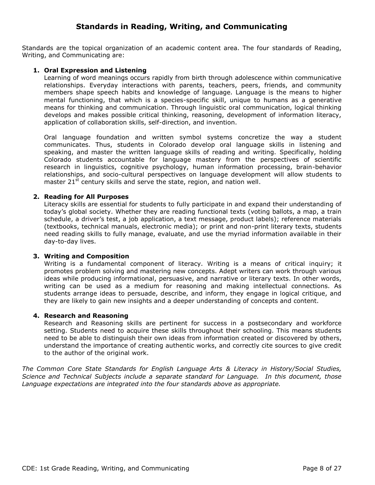## **Standards in Reading, Writing, and Communicating**

Standards are the topical organization of an academic content area. The four standards of Reading, Writing, and Communicating are:

### **1. Oral Expression and Listening**

Learning of word meanings occurs rapidly from birth through adolescence within communicative relationships. Everyday interactions with parents, teachers, peers, friends, and community members shape speech habits and knowledge of language. Language is the means to higher mental functioning, that which is a species-specific skill, unique to humans as a generative means for thinking and communication. Through linguistic oral communication, logical thinking develops and makes possible critical thinking, reasoning, development of information literacy, application of collaboration skills, self-direction, and invention.

Oral language foundation and written symbol systems concretize the way a student communicates. Thus, students in Colorado develop oral language skills in listening and speaking, and master the written language skills of reading and writing. Specifically, holding Colorado students accountable for language mastery from the perspectives of scientific research in linguistics, cognitive psychology, human information processing, brain-behavior relationships, and socio-cultural perspectives on language development will allow students to master  $21^{st}$  century skills and serve the state, region, and nation well.

#### **2. Reading for All Purposes**

Literacy skills are essential for students to fully participate in and expand their understanding of today's global society. Whether they are reading functional texts (voting ballots, a map, a train schedule, a driver's test, a job application, a text message, product labels); reference materials (textbooks, technical manuals, electronic media); or print and non-print literary texts, students need reading skills to fully manage, evaluate, and use the myriad information available in their day-to-day lives.

#### **3. Writing and Composition**

Writing is a fundamental component of literacy. Writing is a means of critical inquiry; it promotes problem solving and mastering new concepts. Adept writers can work through various ideas while producing informational, persuasive, and narrative or literary texts. In other words, writing can be used as a medium for reasoning and making intellectual connections. As students arrange ideas to persuade, describe, and inform, they engage in logical critique, and they are likely to gain new insights and a deeper understanding of concepts and content.

#### **4. Research and Reasoning**

Research and Reasoning skills are pertinent for success in a postsecondary and workforce setting. Students need to acquire these skills throughout their schooling. This means students need to be able to distinguish their own ideas from information created or discovered by others, understand the importance of creating authentic works, and correctly cite sources to give credit to the author of the original work.

*The Common Core State Standards for English Language Arts & Literacy in History/Social Studies, Science and Technical Subjects include a separate standard for Language. In this document, those Language expectations are integrated into the four standards above as appropriate.*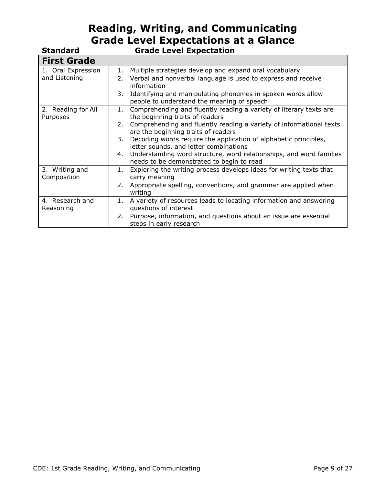# **Reading, Writing, and Communicating Grade Level Expectations at a Glance**

| <b>Standard</b>                     | <b>Grade Level Expectation</b>                                                                                                                                                                                                                                                                                                                                                                                                                                          |
|-------------------------------------|-------------------------------------------------------------------------------------------------------------------------------------------------------------------------------------------------------------------------------------------------------------------------------------------------------------------------------------------------------------------------------------------------------------------------------------------------------------------------|
| <b>First Grade</b>                  |                                                                                                                                                                                                                                                                                                                                                                                                                                                                         |
| 1. Oral Expression<br>and Listening | Multiple strategies develop and expand oral vocabulary<br>1.<br>Verbal and nonverbal language is used to express and receive<br>2.<br>information<br>Identifying and manipulating phonemes in spoken words allow<br>3.<br>people to understand the meaning of speech                                                                                                                                                                                                    |
| 2. Reading for All<br>Purposes      | Comprehending and fluently reading a variety of literary texts are<br>1.<br>the beginning traits of readers<br>Comprehending and fluently reading a variety of informational texts<br>2.<br>are the beginning traits of readers<br>3. Decoding words require the application of alphabetic principles,<br>letter sounds, and letter combinations<br>4. Understanding word structure, word relationships, and word families<br>needs to be demonstrated to begin to read |
| 3. Writing and<br>Composition       | Exploring the writing process develops ideas for writing texts that<br>1.<br>carry meaning<br>Appropriate spelling, conventions, and grammar are applied when<br>2.<br>writing                                                                                                                                                                                                                                                                                          |
| 4. Research and<br>Reasoning        | A variety of resources leads to locating information and answering<br>1.<br>questions of interest<br>Purpose, information, and questions about an issue are essential<br>2.<br>steps in early research                                                                                                                                                                                                                                                                  |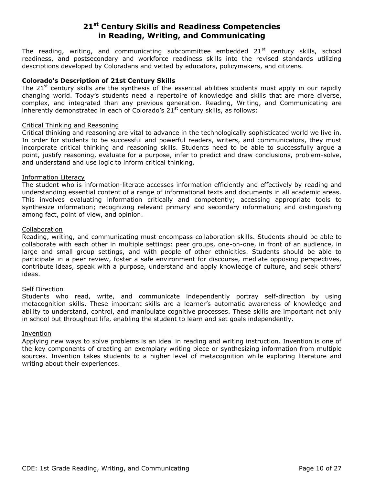## **21st Century Skills and Readiness Competencies in Reading, Writing, and Communicating**

The reading, writing, and communicating subcommittee embedded  $21<sup>st</sup>$  century skills, school readiness, and postsecondary and workforce readiness skills into the revised standards utilizing descriptions developed by Coloradans and vetted by educators, policymakers, and citizens.

#### **Colorado's Description of 21st Century Skills**

The  $21^{st}$  century skills are the synthesis of the essential abilities students must apply in our rapidly changing world. Today's students need a repertoire of knowledge and skills that are more diverse, complex, and integrated than any previous generation. Reading, Writing, and Communicating are inherently demonstrated in each of Colorado's  $21<sup>st</sup>$  century skills, as follows:

#### Critical Thinking and Reasoning

Critical thinking and reasoning are vital to advance in the technologically sophisticated world we live in. In order for students to be successful and powerful readers, writers, and communicators, they must incorporate critical thinking and reasoning skills. Students need to be able to successfully argue a point, justify reasoning, evaluate for a purpose, infer to predict and draw conclusions, problem-solve, and understand and use logic to inform critical thinking.

#### Information Literacy

The student who is information-literate accesses information efficiently and effectively by reading and understanding essential content of a range of informational texts and documents in all academic areas. This involves evaluating information critically and competently; accessing appropriate tools to synthesize information; recognizing relevant primary and secondary information; and distinguishing among fact, point of view, and opinion.

#### **Collaboration**

Reading, writing, and communicating must encompass collaboration skills. Students should be able to collaborate with each other in multiple settings: peer groups, one-on-one, in front of an audience, in large and small group settings, and with people of other ethnicities. Students should be able to participate in a peer review, foster a safe environment for discourse, mediate opposing perspectives, contribute ideas, speak with a purpose, understand and apply knowledge of culture, and seek others' ideas.

#### Self Direction

Students who read, write, and communicate independently portray self-direction by using metacognition skills. These important skills are a learner's automatic awareness of knowledge and ability to understand, control, and manipulate cognitive processes. These skills are important not only in school but throughout life, enabling the student to learn and set goals independently.

#### Invention

Applying new ways to solve problems is an ideal in reading and writing instruction. Invention is one of the key components of creating an exemplary writing piece or synthesizing information from multiple sources. Invention takes students to a higher level of metacognition while exploring literature and writing about their experiences.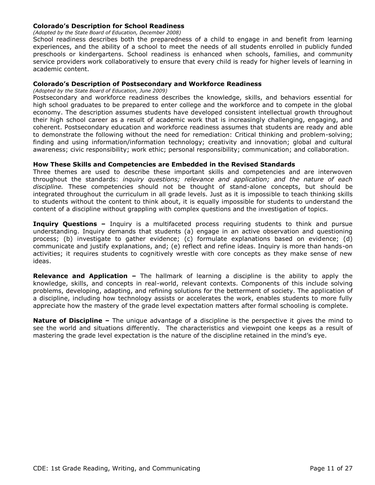### **Colorado's Description for School Readiness**

#### *(Adopted by the State Board of Education, December 2008)*

School readiness describes both the preparedness of a child to engage in and benefit from learning experiences, and the ability of a school to meet the needs of all students enrolled in publicly funded preschools or kindergartens. School readiness is enhanced when schools, families, and community service providers work collaboratively to ensure that every child is ready for higher levels of learning in academic content.

### **Colorado's Description of Postsecondary and Workforce Readiness**

*(Adopted by the State Board of Education, June 2009)*

Postsecondary and workforce readiness describes the knowledge, skills, and behaviors essential for high school graduates to be prepared to enter college and the workforce and to compete in the global economy. The description assumes students have developed consistent intellectual growth throughout their high school career as a result of academic work that is increasingly challenging, engaging, and coherent. Postsecondary education and workforce readiness assumes that students are ready and able to demonstrate the following without the need for remediation: Critical thinking and problem-solving; finding and using information/information technology; creativity and innovation; global and cultural awareness; civic responsibility; work ethic; personal responsibility; communication; and collaboration.

### **How These Skills and Competencies are Embedded in the Revised Standards**

Three themes are used to describe these important skills and competencies and are interwoven throughout the standards: *inquiry questions; relevance and application; and the nature of each discipline.* These competencies should not be thought of stand-alone concepts, but should be integrated throughout the curriculum in all grade levels. Just as it is impossible to teach thinking skills to students without the content to think about, it is equally impossible for students to understand the content of a discipline without grappling with complex questions and the investigation of topics.

**Inquiry Questions –** Inquiry is a multifaceted process requiring students to think and pursue understanding. Inquiry demands that students (a) engage in an active observation and questioning process; (b) investigate to gather evidence; (c) formulate explanations based on evidence; (d) communicate and justify explanations, and; (e) reflect and refine ideas. Inquiry is more than hands-on activities; it requires students to cognitively wrestle with core concepts as they make sense of new ideas.

**Relevance and Application –** The hallmark of learning a discipline is the ability to apply the knowledge, skills, and concepts in real-world, relevant contexts. Components of this include solving problems, developing, adapting, and refining solutions for the betterment of society. The application of a discipline, including how technology assists or accelerates the work, enables students to more fully appreciate how the mastery of the grade level expectation matters after formal schooling is complete.

**Nature of Discipline –** The unique advantage of a discipline is the perspective it gives the mind to see the world and situations differently. The characteristics and viewpoint one keeps as a result of mastering the grade level expectation is the nature of the discipline retained in the mind's eye.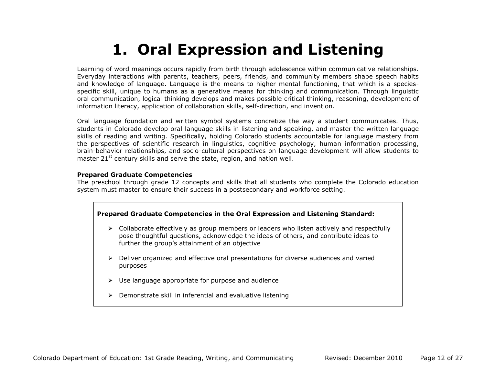# **1. Oral Expression and Listening**

Learning of word meanings occurs rapidly from birth through adolescence within communicative relationships. Everyday interactions with parents, teachers, peers, friends, and community members shape speech habits and knowledge of language. Language is the means to higher mental functioning, that which is a speciesspecific skill, unique to humans as a generative means for thinking and communication. Through linguistic oral communication, logical thinking develops and makes possible critical thinking, reasoning, development of information literacy, application of collaboration skills, self-direction, and invention.

Oral language foundation and written symbol systems concretize the way a student communicates. Thus, students in Colorado develop oral language skills in listening and speaking, and master the written language skills of reading and writing. Specifically, holding Colorado students accountable for language mastery from the perspectives of scientific research in linguistics, cognitive psychology, human information processing, brain-behavior relationships, and socio-cultural perspectives on language development will allow students to master  $21^{st}$  century skills and serve the state, region, and nation well.

#### **Prepared Graduate Competencies**

The preschool through grade 12 concepts and skills that all students who complete the Colorado education system must master to ensure their success in a postsecondary and workforce setting.

### **Prepared Graduate Competencies in the Oral Expression and Listening Standard:**

- $\triangleright$  Collaborate effectively as group members or leaders who listen actively and respectfully pose thoughtful questions, acknowledge the ideas of others, and contribute ideas to further the group's attainment of an objective
- $\triangleright$  Deliver organized and effective oral presentations for diverse audiences and varied purposes
- $\triangleright$  Use language appropriate for purpose and audience
- $\triangleright$  Demonstrate skill in inferential and evaluative listening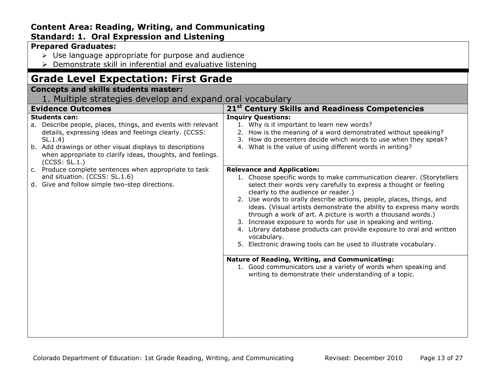## **Content Area: Reading, Writing, and Communicating Standard: 1. Oral Expression and Listening**

## **Prepared Graduates:**

- $\triangleright$  Use language appropriate for purpose and audience
- $\triangleright$  Demonstrate skill in inferential and evaluative listening

## **Grade Level Expectation: First Grade**

## **Concepts and skills students master:**

1. Multiple strategies develop and expand oral vocabulary

| <b>I</b> Trailiple belategies acted and expand oral tocabalar                                                                                                                                                                                                                                        |                                                                                                                                                                                                                                                                                                                                                                                                                                                                                                                                                                                                                                                                                                                                                                                                                                                            |
|------------------------------------------------------------------------------------------------------------------------------------------------------------------------------------------------------------------------------------------------------------------------------------------------------|------------------------------------------------------------------------------------------------------------------------------------------------------------------------------------------------------------------------------------------------------------------------------------------------------------------------------------------------------------------------------------------------------------------------------------------------------------------------------------------------------------------------------------------------------------------------------------------------------------------------------------------------------------------------------------------------------------------------------------------------------------------------------------------------------------------------------------------------------------|
| <b>Evidence Outcomes</b>                                                                                                                                                                                                                                                                             | 21 <sup>st</sup> Century Skills and Readiness Competencies                                                                                                                                                                                                                                                                                                                                                                                                                                                                                                                                                                                                                                                                                                                                                                                                 |
| <b>Students can:</b><br>a. Describe people, places, things, and events with relevant<br>details, expressing ideas and feelings clearly. (CCSS:<br>SL.1.4)<br>b. Add drawings or other visual displays to descriptions<br>when appropriate to clarify ideas, thoughts, and feelings.<br>(CCSS: SL.1.) | <b>Inquiry Questions:</b><br>1. Why is it important to learn new words?<br>2. How is the meaning of a word demonstrated without speaking?<br>3. How do presenters decide which words to use when they speak?<br>4. What is the value of using different words in writing?                                                                                                                                                                                                                                                                                                                                                                                                                                                                                                                                                                                  |
| c. Produce complete sentences when appropriate to task<br>and situation. (CCSS: SL.1.6)<br>d. Give and follow simple two-step directions.                                                                                                                                                            | <b>Relevance and Application:</b><br>1. Choose specific words to make communication clearer. (Storytellers<br>select their words very carefully to express a thought or feeling<br>clearly to the audience or reader.)<br>2. Use words to orally describe actions, people, places, things, and<br>ideas. (Visual artists demonstrate the ability to express many words<br>through a work of art. A picture is worth a thousand words.)<br>3. Increase exposure to words for use in speaking and writing.<br>4. Library database products can provide exposure to oral and written<br>vocabulary.<br>5. Electronic drawing tools can be used to illustrate vocabulary.<br><b>Nature of Reading, Writing, and Communicating:</b><br>1. Good communicators use a variety of words when speaking and<br>writing to demonstrate their understanding of a topic. |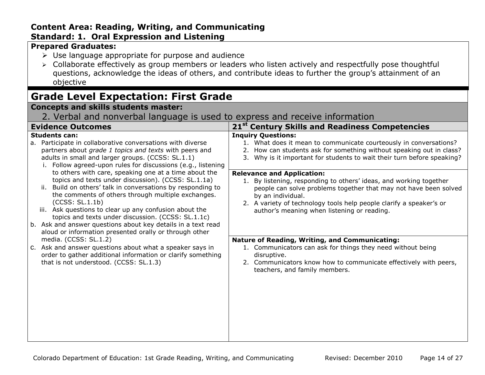## **Content Area: Reading, Writing, and Communicating Standard: 1. Oral Expression and Listening**

## **Prepared Graduates:**

- $\triangleright$  Use language appropriate for purpose and audience
- > Collaborate effectively as group members or leaders who listen actively and respectfully pose thoughtful questions, acknowledge the ideas of others, and contribute ideas to further the group's attainment of an objective

#### **Grade Level Expectation: First Grade Concepts and skills students master:** 2. Verbal and nonverbal language is used to express and receive information **Evidence Outcomes 21<sup>st</sup> Century Skills and Readiness Competencies Students can:** a. Participate in collaborative conversations with diverse partners about *grade 1 topics and texts* with peers and adults in small and larger groups. (CCSS: SL.1.1) i. Follow agreed-upon rules for discussions (e.g., listening to others with care, speaking one at a time about the topics and texts under discussion). (CCSS: SL.1.1a) ii. Build on others' talk in conversations by responding to the comments of others through multiple exchanges. (CCSS: SL.1.1b) iii. Ask questions to clear up any confusion about the topics and texts under discussion. (CCSS: SL.1.1c) b. Ask and answer questions about key details in a text read aloud or information presented orally or through other media. (CCSS: SL.1.2) c. Ask and answer questions about what a speaker says in order to gather additional information or clarify something that is not understood. (CCSS: SL.1.3) **Inquiry Questions:**  1. What does it mean to communicate courteously in conversations? 2. How can students ask for something without speaking out in class? 3. Why is it important for students to wait their turn before speaking? **Relevance and Application:** 1. By listening, responding to others' ideas, and working together people can solve problems together that may not have been solved by an individual. 2. A variety of technology tools help people clarify a speaker's or author's meaning when listening or reading. **Nature of Reading, Writing, and Communicating:** 1. Communicators can ask for things they need without being disruptive. 2. Communicators know how to communicate effectively with peers, teachers, and family members.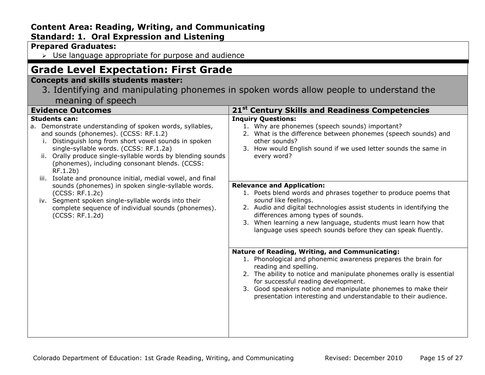## **Content Area: Reading, Writing, and Communicating Standard: 1. Oral Expression and Listening**

## **Prepared Graduates:**

 $\triangleright$  Use language appropriate for purpose and audience

# **Grade Level Expectation: First Grade**

## **Concepts and skills students master:**

3. Identifying and manipulating phonemes in spoken words allow people to understand the meaning of speech

| <b>Evidence Outcomes</b>                                                                                                                                                                                                                                                                                                                                                                            | 21 <sup>st</sup> Century Skills and Readiness Competencies                                                                                                                                                                                                                                                                                                                                        |
|-----------------------------------------------------------------------------------------------------------------------------------------------------------------------------------------------------------------------------------------------------------------------------------------------------------------------------------------------------------------------------------------------------|---------------------------------------------------------------------------------------------------------------------------------------------------------------------------------------------------------------------------------------------------------------------------------------------------------------------------------------------------------------------------------------------------|
| <b>Students can:</b>                                                                                                                                                                                                                                                                                                                                                                                | <b>Inquiry Questions:</b>                                                                                                                                                                                                                                                                                                                                                                         |
| a. Demonstrate understanding of spoken words, syllables,<br>and sounds (phonemes). (CCSS: RF.1.2)<br>i. Distinguish long from short vowel sounds in spoken<br>single-syllable words. (CCSS: RF.1.2a)<br>ii. Orally produce single-syllable words by blending sounds<br>(phonemes), including consonant blends. (CCSS:<br>RF.1.2b)<br>Isolate and pronounce initial, medial vowel, and final<br>iii. | 1. Why are phonemes (speech sounds) important?<br>2. What is the difference between phonemes (speech sounds) and<br>other sounds?<br>3. How would English sound if we used letter sounds the same in<br>every word?                                                                                                                                                                               |
| sounds (phonemes) in spoken single-syllable words.<br>(CCSS: RF.1.2c)<br>iv. Segment spoken single-syllable words into their<br>complete sequence of individual sounds (phonemes).<br>(CCSS: RF.1.2d)                                                                                                                                                                                               | <b>Relevance and Application:</b><br>1. Poets blend words and phrases together to produce poems that<br>sound like feelings.<br>2. Audio and digital technologies assist students in identifying the<br>differences among types of sounds.<br>3. When learning a new language, students must learn how that<br>language uses speech sounds before they can speak fluently.                        |
|                                                                                                                                                                                                                                                                                                                                                                                                     | <b>Nature of Reading, Writing, and Communicating:</b><br>1. Phonological and phonemic awareness prepares the brain for<br>reading and spelling.<br>2. The ability to notice and manipulate phonemes orally is essential<br>for successful reading development.<br>3. Good speakers notice and manipulate phonemes to make their<br>presentation interesting and understandable to their audience. |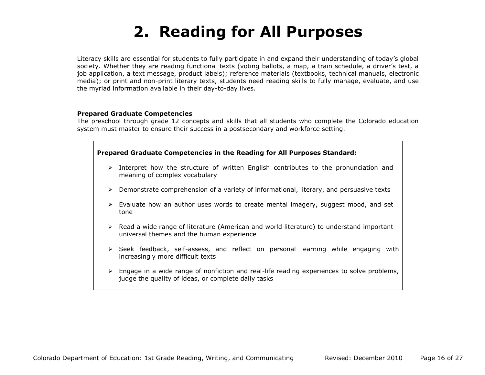# **2. Reading for All Purposes**

Literacy skills are essential for students to fully participate in and expand their understanding of today's global society. Whether they are reading functional texts (voting ballots, a map, a train schedule, a driver's test, a job application, a text message, product labels); reference materials (textbooks, technical manuals, electronic media); or print and non-print literary texts, students need reading skills to fully manage, evaluate, and use the myriad information available in their day-to-day lives.

#### **Prepared Graduate Competencies**

The preschool through grade 12 concepts and skills that all students who complete the Colorado education system must master to ensure their success in a postsecondary and workforce setting.

## **Prepared Graduate Competencies in the Reading for All Purposes Standard:**

- $\triangleright$  Interpret how the structure of written English contributes to the pronunciation and meaning of complex vocabulary
- $\triangleright$  Demonstrate comprehension of a variety of informational, literary, and persuasive texts
- $\triangleright$  Evaluate how an author uses words to create mental imagery, suggest mood, and set tone
- $\triangleright$  Read a wide range of literature (American and world literature) to understand important universal themes and the human experience
- $\triangleright$  Seek feedback, self-assess, and reflect on personal learning while engaging with increasingly more difficult texts
- $\triangleright$  Engage in a wide range of nonfiction and real-life reading experiences to solve problems, judge the quality of ideas, or complete daily tasks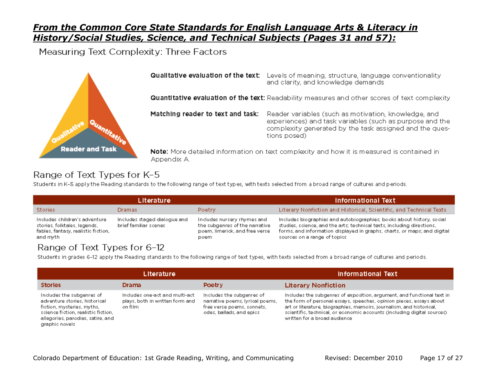## *From the Common Core State Standards for English Language Arts & Literacy in History/Social Studies, Science, and Technical Subjects (Pages 31 and 57):*

Measuring Text Complexity: Three Factors



**Qualitative evaluation of the text:** Levels of meaning, structure, language conventionality and clarity, and knowledge demands

**Quantitative evaluation of the text:** Readability measures and other scores of text complexity

**Matching reader to text and task:** Reader variables (such as motivation, knowledge, and experiences) and task variables (such as purpose and the complexity generated by the task assigned and the questions posed)

Note: More detailed information on text complexity and how it is measured is contained in Appendix A.

## Range of Text Types for K-5

Students in K-5 apply the Reading standards to the following range of text types, with texts selected from a broad range of cultures and periods.

|                                                                                                                  | Literature                                            |                                                                                                         | Informational Text                                                                                                                                                                                                                                           |
|------------------------------------------------------------------------------------------------------------------|-------------------------------------------------------|---------------------------------------------------------------------------------------------------------|--------------------------------------------------------------------------------------------------------------------------------------------------------------------------------------------------------------------------------------------------------------|
| <b>Stories</b>                                                                                                   | Dramas.                                               | Poetry.                                                                                                 | Literary Nonfiction and Historical, Scientific, and Technical Texts.                                                                                                                                                                                         |
| Includes children's adventure<br>stories, folktales, legends,<br>fables, fantasy, realistic fiction,<br>and myth | Includes staged dialogue and<br>brief familiar scenes | Includes nursery rhymes and<br>the subgenres of the narrative<br>poem, limerick, and free verse<br>poem | Includes biographies and autobiographies; books about history, social<br>studies, science, and the arts; technical texts, including directions,<br>forms, and information displayed in graphs, charts, or maps; and digital<br>sources on a range of topics. |

## Range of Text Types for 6-12

Students in grades 6-12 apply the Reading standards to the following range of text types, with texts selected from a broad range of cultures and periods.

|                                                                                                                                                                                        | Literature                                                                    |                                                                                                                        | Informational Text                                                                                                                                                                                                                                                                                                                |
|----------------------------------------------------------------------------------------------------------------------------------------------------------------------------------------|-------------------------------------------------------------------------------|------------------------------------------------------------------------------------------------------------------------|-----------------------------------------------------------------------------------------------------------------------------------------------------------------------------------------------------------------------------------------------------------------------------------------------------------------------------------|
| <b>Storles</b>                                                                                                                                                                         | <b>Drama</b>                                                                  | <b>Poetry</b>                                                                                                          | <b>Literary Nonfiction</b>                                                                                                                                                                                                                                                                                                        |
| Includes the subgenres of<br>adventure stories, historical<br>fiction, mysteries, myths,<br>science fiction, realistic fiction,<br>allegories, parodies, satire, and<br>graphic novels | Includes one-act and multi-act<br>plays, both in written form and<br>on film. | Includes the subgenres of<br>narrative poems, lyrical poems,<br>free verse poems, sonnets,<br>odes, ballads, and epics | Includes the subgenres of exposition, argument, and functional text in<br>the form of personal essays, speeches, opinion pieces, essays about<br>art or literature, biographies, memoirs, journalism, and historical,<br>scientific, technical, or economic accounts (including digital sources)<br>written for a broad audience. |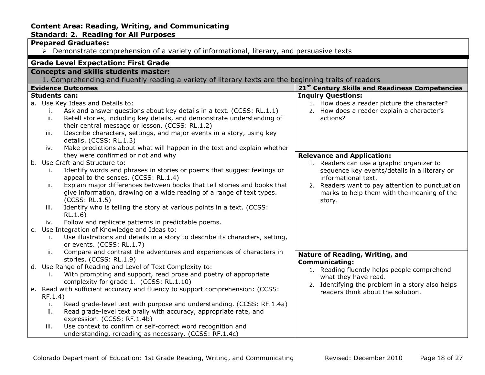|         |                      | <b>Prepared Graduates:</b><br>$\triangleright$ Demonstrate comprehension of a variety of informational, literary, and persuasive texts |                                                                                           |
|---------|----------------------|----------------------------------------------------------------------------------------------------------------------------------------|-------------------------------------------------------------------------------------------|
|         |                      | <b>Grade Level Expectation: First Grade</b>                                                                                            |                                                                                           |
|         |                      | <b>Concepts and skills students master:</b>                                                                                            |                                                                                           |
|         |                      | 1. Comprehending and fluently reading a variety of literary texts are the beginning traits of readers                                  |                                                                                           |
|         |                      | <b>Evidence Outcomes</b>                                                                                                               | 21st Century Skills and Readiness Competencies                                            |
|         | <b>Students can:</b> |                                                                                                                                        | <b>Inquiry Questions:</b>                                                                 |
|         |                      | a. Use Key Ideas and Details to:                                                                                                       | 1. How does a reader picture the character?                                               |
|         | i.                   | Ask and answer questions about key details in a text. (CCSS: RL.1.1)                                                                   | 2. How does a reader explain a character's                                                |
|         | ii.                  | Retell stories, including key details, and demonstrate understanding of                                                                | actions?                                                                                  |
|         |                      | their central message or lesson. (CCSS: RL.1.2)                                                                                        |                                                                                           |
|         | iii.                 | Describe characters, settings, and major events in a story, using key                                                                  |                                                                                           |
|         |                      | details. (CCSS: RL.1.3)                                                                                                                |                                                                                           |
|         | iv.                  | Make predictions about what will happen in the text and explain whether                                                                |                                                                                           |
|         |                      | they were confirmed or not and why<br>b. Use Craft and Structure to:                                                                   | <b>Relevance and Application:</b>                                                         |
|         | i.                   | Identify words and phrases in stories or poems that suggest feelings or                                                                | 1. Readers can use a graphic organizer to<br>sequence key events/details in a literary or |
|         |                      | appeal to the senses. (CCSS: RL.1.4)                                                                                                   | informational text.                                                                       |
|         | ii.                  | Explain major differences between books that tell stories and books that                                                               | 2. Readers want to pay attention to punctuation                                           |
|         |                      | give information, drawing on a wide reading of a range of text types.                                                                  | marks to help them with the meaning of the                                                |
|         |                      | (CCSS: RL.1.5)                                                                                                                         | story.                                                                                    |
|         | iii.                 | Identify who is telling the story at various points in a text. (CCSS:                                                                  |                                                                                           |
|         |                      | RL.1.6)                                                                                                                                |                                                                                           |
|         | iv.                  | Follow and replicate patterns in predictable poems.                                                                                    |                                                                                           |
| $C_{1}$ |                      | Use Integration of Knowledge and Ideas to:                                                                                             |                                                                                           |
|         | i.                   | Use illustrations and details in a story to describe its characters, setting,                                                          |                                                                                           |
|         |                      | or events. (CCSS: RL.1.7)                                                                                                              |                                                                                           |
|         | ii.                  | Compare and contrast the adventures and experiences of characters in                                                                   | Nature of Reading, Writing, and                                                           |
|         |                      | stories. (CCSS: RL.1.9)                                                                                                                | <b>Communicating:</b>                                                                     |
|         |                      | d. Use Range of Reading and Level of Text Complexity to:                                                                               | 1. Reading fluently helps people comprehend                                               |
|         | i.                   | With prompting and support, read prose and poetry of appropriate                                                                       | what they have read.                                                                      |
|         |                      | complexity for grade 1. (CCSS: RL.1.10)<br>e. Read with sufficient accuracy and fluency to support comprehension: (CCSS:               | 2. Identifying the problem in a story also helps                                          |
|         | RF.1.4)              |                                                                                                                                        | readers think about the solution.                                                         |
|         | i.                   | Read grade-level text with purpose and understanding. (CCSS: RF.1.4a)                                                                  |                                                                                           |
|         | ii.                  | Read grade-level text orally with accuracy, appropriate rate, and                                                                      |                                                                                           |
|         |                      | expression. (CCSS: RF.1.4b)                                                                                                            |                                                                                           |
|         | iii.                 | Use context to confirm or self-correct word recognition and                                                                            |                                                                                           |
|         |                      | understanding, rereading as necessary. (CCSS: RF.1.4c)                                                                                 |                                                                                           |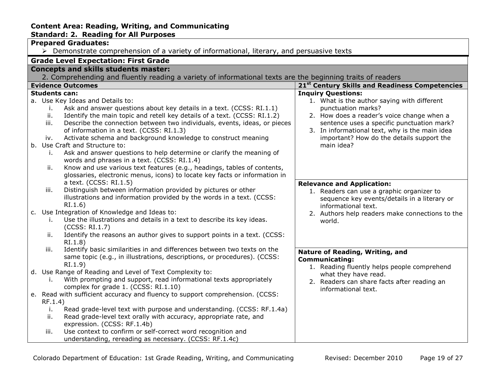| <b>Prepared Graduates:</b>                                                                                                                                                                                                                                                                                                                                                                                                                                                                                                                                                                                                                                                             |                                                                                                                                                                                                                                                                                                         |
|----------------------------------------------------------------------------------------------------------------------------------------------------------------------------------------------------------------------------------------------------------------------------------------------------------------------------------------------------------------------------------------------------------------------------------------------------------------------------------------------------------------------------------------------------------------------------------------------------------------------------------------------------------------------------------------|---------------------------------------------------------------------------------------------------------------------------------------------------------------------------------------------------------------------------------------------------------------------------------------------------------|
| > Demonstrate comprehension of a variety of informational, literary, and persuasive texts                                                                                                                                                                                                                                                                                                                                                                                                                                                                                                                                                                                              |                                                                                                                                                                                                                                                                                                         |
| <b>Grade Level Expectation: First Grade</b>                                                                                                                                                                                                                                                                                                                                                                                                                                                                                                                                                                                                                                            |                                                                                                                                                                                                                                                                                                         |
| <b>Concepts and skills students master:</b>                                                                                                                                                                                                                                                                                                                                                                                                                                                                                                                                                                                                                                            |                                                                                                                                                                                                                                                                                                         |
| 2. Comprehending and fluently reading a variety of informational texts are the beginning traits of readers                                                                                                                                                                                                                                                                                                                                                                                                                                                                                                                                                                             |                                                                                                                                                                                                                                                                                                         |
| <b>Evidence Outcomes</b>                                                                                                                                                                                                                                                                                                                                                                                                                                                                                                                                                                                                                                                               | 21 <sup>st</sup> Century Skills and Readiness Competencies                                                                                                                                                                                                                                              |
| <b>Students can:</b><br>a. Use Key Ideas and Details to:<br>Ask and answer questions about key details in a text. (CCSS: RI.1.1)<br>i.<br>Identify the main topic and retell key details of a text. (CCSS: RI.1.2)<br>ii.<br>Describe the connection between two individuals, events, ideas, or pieces<br>iii.<br>of information in a text. (CCSS: RI.1.3)<br>Activate schema and background knowledge to construct meaning<br>iv.<br>Use Craft and Structure to:<br>b.<br>Ask and answer questions to help determine or clarify the meaning of<br>i.<br>words and phrases in a text. (CCSS: RI.1.4)<br>Know and use various text features (e.g., headings, tables of contents,<br>ii. | <b>Inquiry Questions:</b><br>1. What is the author saying with different<br>punctuation marks?<br>2. How does a reader's voice change when a<br>sentence uses a specific punctuation mark?<br>3. In informational text, why is the main idea<br>important? How do the details support the<br>main idea? |
| glossaries, electronic menus, icons) to locate key facts or information in<br>a text. (CCSS: RI.1.5)<br>Distinguish between information provided by pictures or other<br>iii.<br>illustrations and information provided by the words in a text. (CCSS:<br>RI.1.6)<br>c. Use Integration of Knowledge and Ideas to:<br>Use the illustrations and details in a text to describe its key ideas.<br>i.<br>(CCSS: RI.1.7)<br>Identify the reasons an author gives to support points in a text. (CCSS:<br>ii.<br>RI.1.8)                                                                                                                                                                     | <b>Relevance and Application:</b><br>1. Readers can use a graphic organizer to<br>sequence key events/details in a literary or<br>informational text.<br>2. Authors help readers make connections to the<br>world.                                                                                      |
| Identify basic similarities in and differences between two texts on the<br>iii.<br>same topic (e.g., in illustrations, descriptions, or procedures). (CCSS:<br>RI.1.9)<br>d. Use Range of Reading and Level of Text Complexity to:                                                                                                                                                                                                                                                                                                                                                                                                                                                     | Nature of Reading, Writing, and<br><b>Communicating:</b><br>1. Reading fluently helps people comprehend<br>what they have read.                                                                                                                                                                         |
| With prompting and support, read informational texts appropriately<br>i.<br>complex for grade 1. (CCSS: RI.1.10)<br>e. Read with sufficient accuracy and fluency to support comprehension. (CCSS:<br>RF.1.4)<br>Read grade-level text with purpose and understanding. (CCSS: RF.1.4a)<br>i.<br>Read grade-level text orally with accuracy, appropriate rate, and<br>ii.<br>expression. (CCSS: RF.1.4b)<br>Use context to confirm or self-correct word recognition and<br>iii.<br>understanding, rereading as necessary. (CCSS: RF.1.4c)                                                                                                                                                | 2. Readers can share facts after reading an<br>informational text.                                                                                                                                                                                                                                      |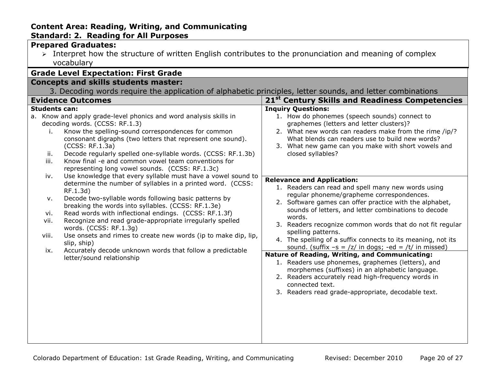| <b>Prepared Graduates:</b>                                                                                                                                                                                                                                                                                                                                                                                                                                                                                                  |                                                                                                                                                                                                                                                                                                                                                                                                                                                                                                  |
|-----------------------------------------------------------------------------------------------------------------------------------------------------------------------------------------------------------------------------------------------------------------------------------------------------------------------------------------------------------------------------------------------------------------------------------------------------------------------------------------------------------------------------|--------------------------------------------------------------------------------------------------------------------------------------------------------------------------------------------------------------------------------------------------------------------------------------------------------------------------------------------------------------------------------------------------------------------------------------------------------------------------------------------------|
| > Interpret how the structure of written English contributes to the pronunciation and meaning of complex                                                                                                                                                                                                                                                                                                                                                                                                                    |                                                                                                                                                                                                                                                                                                                                                                                                                                                                                                  |
| vocabulary                                                                                                                                                                                                                                                                                                                                                                                                                                                                                                                  |                                                                                                                                                                                                                                                                                                                                                                                                                                                                                                  |
| <b>Grade Level Expectation: First Grade</b>                                                                                                                                                                                                                                                                                                                                                                                                                                                                                 |                                                                                                                                                                                                                                                                                                                                                                                                                                                                                                  |
| <b>Concepts and skills students master:</b>                                                                                                                                                                                                                                                                                                                                                                                                                                                                                 |                                                                                                                                                                                                                                                                                                                                                                                                                                                                                                  |
| 3. Decoding words require the application of alphabetic principles, letter sounds, and letter combinations                                                                                                                                                                                                                                                                                                                                                                                                                  |                                                                                                                                                                                                                                                                                                                                                                                                                                                                                                  |
| <b>Evidence Outcomes</b>                                                                                                                                                                                                                                                                                                                                                                                                                                                                                                    | 21 <sup>st</sup> Century Skills and Readiness Competencies                                                                                                                                                                                                                                                                                                                                                                                                                                       |
| <b>Students can:</b><br>a. Know and apply grade-level phonics and word analysis skills in<br>decoding words. (CCSS: RF.1.3)<br>Know the spelling-sound correspondences for common<br>i.<br>consonant digraphs (two letters that represent one sound).<br>(CCSS: RF.1.3a)<br>Decode regularly spelled one-syllable words. (CCSS: RF.1.3b)<br>ii.<br>Know final -e and common vowel team conventions for<br>iii.<br>representing long vowel sounds. (CCSS: RF.1.3c)                                                           | <b>Inquiry Questions:</b><br>1. How do phonemes (speech sounds) connect to<br>graphemes (letters and letter clusters)?<br>2. What new words can readers make from the rime /ip/?<br>What blends can readers use to build new words?<br>3. What new game can you make with short vowels and<br>closed syllables?                                                                                                                                                                                  |
| Use knowledge that every syllable must have a vowel sound to<br>iv.<br>determine the number of syllables in a printed word. (CCSS:<br>RF.1.3d)<br>Decode two-syllable words following basic patterns by<br>v.<br>breaking the words into syllables. (CCSS: RF.1.3e)<br>Read words with inflectional endings. (CCSS: RF.1.3f)<br>vi.<br>Recognize and read grade-appropriate irregularly spelled<br>vii.<br>words. (CCSS: RF.1.3g)<br>Use onsets and rimes to create new words (ip to make dip, lip,<br>viii.<br>slip, ship) | <b>Relevance and Application:</b><br>1. Readers can read and spell many new words using<br>regular phoneme/grapheme correspondences.<br>2. Software games can offer practice with the alphabet,<br>sounds of letters, and letter combinations to decode<br>words.<br>3. Readers recognize common words that do not fit regular<br>spelling patterns.<br>4. The spelling of a suffix connects to its meaning, not its<br>sound. (suffix $-s = \frac{z}{i}$ in dogs; $-d = \frac{t}{i}$ in missed) |
| Accurately decode unknown words that follow a predictable<br>ix.<br>letter/sound relationship                                                                                                                                                                                                                                                                                                                                                                                                                               | <b>Nature of Reading, Writing, and Communicating:</b><br>1. Readers use phonemes, graphemes (letters), and<br>morphemes (suffixes) in an alphabetic language.<br>2. Readers accurately read high-frequency words in<br>connected text.<br>3. Readers read grade-appropriate, decodable text.                                                                                                                                                                                                     |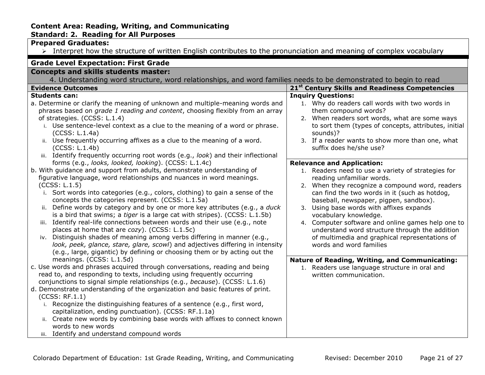#### **Prepared Graduates:** > Interpret how the structure of written English contributes to the pronunciation and meaning of complex vocabulary **Grade Level Expectation: First Grade Concepts and skills students master:** 4. Understanding word structure, word relationships, and word families needs to be demonstrated to begin to read **Evidence Outcomes 21st Century Skills and Readiness Competencies Students can:** a. Determine or clarify the meaning of unknown and multiple-meaning words and phrases based on *grade 1 reading and content*, choosing flexibly from an array of strategies. (CCSS: L.1.4) i. Use sentence-level context as a clue to the meaning of a word or phrase. (CCSS: L.1.4a) ii. Use frequently occurring affixes as a clue to the meaning of a word. (CCSS: L.1.4b) iii. Identify frequently occurring root words (e.g., *look*) and their inflectional forms (e.g., *looks, looked, looking*). (CCSS: L.1.4c) b. With guidance and support from adults, demonstrate understanding of figurative language, word relationships and nuances in word meanings. (CCSS: L.1.5) i. Sort words into categories (e.g., colors, clothing) to gain a sense of the concepts the categories represent. (CCSS: L.1.5a) ii. Define words by category and by one or more key attributes (e.g., a *duck* is a bird that swims; a *tiger* is a large cat with stripes). (CCSS: L.1.5b) iii. Identify real-life connections between words and their use (e.g., note places at home that are *cozy*). (CCSS: L.1.5c) iv. Distinguish shades of meaning among verbs differing in manner (e.g., *look, peek, glance, stare, glare, scowl*) and adjectives differing in intensity (e.g., large, gigantic) by defining or choosing them or by acting out the meanings. (CCSS: L.1.5d) c. Use words and phrases acquired through conversations, reading and being read to, and responding to texts, including using frequently occurring conjunctions to signal simple relationships (e.g., *because*). (CCSS: L.1.6) d. Demonstrate understanding of the organization and basic features of print. (CCSS: RF.1.1) i. Recognize the distinguishing features of a sentence (e.g., first word, capitalization, ending punctuation). (CCSS: RF.1.1a) ii. Create new words by combining base words with affixes to connect known words to new words iii. Identify and understand compound words **Inquiry Questions:**  1. Why do readers call words with two words in them compound words? 2. When readers sort words, what are some ways to sort them (types of concepts, attributes, initial sounds)? 3. If a reader wants to show more than one, what suffix does he/she use? **Relevance and Application:** 1. Readers need to use a variety of strategies for reading unfamiliar words. 2. When they recognize a compound word, readers can find the two words in it (such as hotdog, baseball, newspaper, pigpen, sandbox). 3. Using base words with affixes expands vocabulary knowledge. 4. Computer software and online games help one to understand word structure through the addition of multimedia and graphical representations of words and word families **Nature of Reading, Writing, and Communicating:** 1. Readers use language structure in oral and written communication.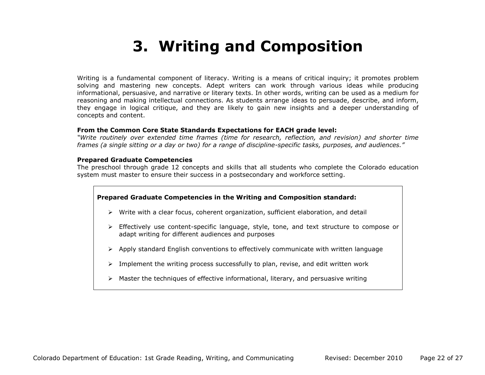# **3. Writing and Composition**

Writing is a fundamental component of literacy. Writing is a means of critical inquiry; it promotes problem solving and mastering new concepts. Adept writers can work through various ideas while producing informational, persuasive, and narrative or literary texts. In other words, writing can be used as a medium for reasoning and making intellectual connections. As students arrange ideas to persuade, describe, and inform, they engage in logical critique, and they are likely to gain new insights and a deeper understanding of concepts and content.

#### **From the Common Core State Standards Expectations for EACH grade level:**

*"Write routinely over extended time frames (time for research, reflection, and revision) and shorter time frames (a single sitting or a day or two) for a range of discipline-specific tasks, purposes, and audiences."*

#### **Prepared Graduate Competencies**

The preschool through grade 12 concepts and skills that all students who complete the Colorado education system must master to ensure their success in a postsecondary and workforce setting.

#### **Prepared Graduate Competencies in the Writing and Composition standard:**

- $\triangleright$  Write with a clear focus, coherent organization, sufficient elaboration, and detail
- $\triangleright$  Effectively use content-specific language, style, tone, and text structure to compose or adapt writing for different audiences and purposes
- $\triangleright$  Apply standard English conventions to effectively communicate with written language
- $\triangleright$  Implement the writing process successfully to plan, revise, and edit written work
- $\triangleright$  Master the techniques of effective informational, literary, and persuasive writing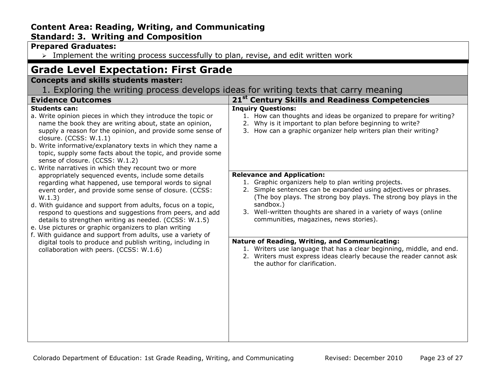## **Content Area: Reading, Writing, and Communicating Standard: 3. Writing and Composition**

| <b>Prepared Graduates:</b><br>$\triangleright$ Implement the writing process successfully to plan, revise, and edit written work                                                                                                                                                                                                                                                                                                                                                              |                                                                                                                                                                                                                                                                                                                                                               |
|-----------------------------------------------------------------------------------------------------------------------------------------------------------------------------------------------------------------------------------------------------------------------------------------------------------------------------------------------------------------------------------------------------------------------------------------------------------------------------------------------|---------------------------------------------------------------------------------------------------------------------------------------------------------------------------------------------------------------------------------------------------------------------------------------------------------------------------------------------------------------|
| <b>Grade Level Expectation: First Grade</b>                                                                                                                                                                                                                                                                                                                                                                                                                                                   |                                                                                                                                                                                                                                                                                                                                                               |
| <b>Concepts and skills students master:</b>                                                                                                                                                                                                                                                                                                                                                                                                                                                   |                                                                                                                                                                                                                                                                                                                                                               |
| 1. Exploring the writing process develops ideas for writing texts that carry meaning                                                                                                                                                                                                                                                                                                                                                                                                          |                                                                                                                                                                                                                                                                                                                                                               |
| <b>Evidence Outcomes</b>                                                                                                                                                                                                                                                                                                                                                                                                                                                                      | 21 <sup>st</sup> Century Skills and Readiness Competencies                                                                                                                                                                                                                                                                                                    |
| <b>Students can:</b><br>a. Write opinion pieces in which they introduce the topic or<br>name the book they are writing about, state an opinion,<br>supply a reason for the opinion, and provide some sense of<br>closure. (CCSS: W.1.1)<br>b. Write informative/explanatory texts in which they name a<br>topic, supply some facts about the topic, and provide some<br>sense of closure. (CCSS: W.1.2)<br>c. Write narratives in which they recount two or more                              | <b>Inquiry Questions:</b><br>1. How can thoughts and ideas be organized to prepare for writing?<br>2. Why is it important to plan before beginning to write?<br>3. How can a graphic organizer help writers plan their writing?                                                                                                                               |
| appropriately sequenced events, include some details<br>regarding what happened, use temporal words to signal<br>event order, and provide some sense of closure. (CCSS:<br>W.1.3)<br>d. With guidance and support from adults, focus on a topic,<br>respond to questions and suggestions from peers, and add<br>details to strengthen writing as needed. (CCSS: W.1.5)<br>e. Use pictures or graphic organizers to plan writing<br>f. With guidance and support from adults, use a variety of | <b>Relevance and Application:</b><br>1. Graphic organizers help to plan writing projects.<br>2. Simple sentences can be expanded using adjectives or phrases.<br>(The boy plays. The strong boy plays. The strong boy plays in the<br>sandbox.)<br>3. Well-written thoughts are shared in a variety of ways (online<br>communities, magazines, news stories). |
| digital tools to produce and publish writing, including in<br>collaboration with peers. (CCSS: W.1.6)                                                                                                                                                                                                                                                                                                                                                                                         | <b>Nature of Reading, Writing, and Communicating:</b><br>1. Writers use language that has a clear beginning, middle, and end.<br>2. Writers must express ideas clearly because the reader cannot ask<br>the author for clarification.                                                                                                                         |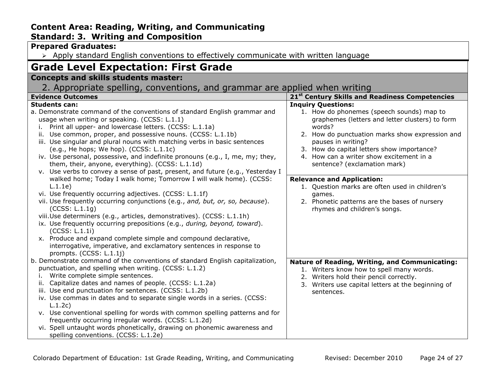## **Content Area: Reading, Writing, and Communicating Standard: 3. Writing and Composition**

| Stanuaru. J.   writting and Composition                                               |                                                                                     |
|---------------------------------------------------------------------------------------|-------------------------------------------------------------------------------------|
| <b>Prepared Graduates:</b>                                                            |                                                                                     |
| > Apply standard English conventions to effectively communicate with written language |                                                                                     |
| <b>Grade Level Expectation: First Grade</b>                                           |                                                                                     |
| <b>Concepts and skills students master:</b>                                           |                                                                                     |
| 2. Appropriate spelling, conventions, and grammar are applied when writing            |                                                                                     |
| <b>Evidence Outcomes</b>                                                              | 21 <sup>st</sup> Century Skills and Readiness Competencies                          |
| <b>Students can:</b>                                                                  | <b>Inquiry Questions:</b>                                                           |
| a. Demonstrate command of the conventions of standard English grammar and             | 1. How do phonemes (speech sounds) map to                                           |
| usage when writing or speaking. (CCSS: L.1.1)                                         | graphemes (letters and letter clusters) to form                                     |
| i. Print all upper- and lowercase letters. (CCSS: L.1.1a)                             | words?                                                                              |
| ii. Use common, proper, and possessive nouns. (CCSS: L.1.1b)                          | 2. How do punctuation marks show expression and                                     |
| iii. Use singular and plural nouns with matching verbs in basic sentences             | pauses in writing?                                                                  |
| (e.g., He hops; We hop). (CCSS: L.1.1c)                                               | 3. How do capital letters show importance?                                          |
| iv. Use personal, possessive, and indefinite pronouns (e.g., I, me, my; they,         | 4. How can a writer show excitement in a                                            |
| them, their, anyone, everything). (CCSS: L.1.1d)                                      | sentence? (exclamation mark)                                                        |
| v. Use verbs to convey a sense of past, present, and future (e.g., Yesterday I        |                                                                                     |
| walked home; Today I walk home; Tomorrow I will walk home). (CCSS:                    | <b>Relevance and Application:</b>                                                   |
| L.1.1e)                                                                               | 1. Question marks are often used in children's                                      |
| vi. Use frequently occurring adjectives. (CCSS: L.1.1f)                               | games.                                                                              |
| vii. Use frequently occurring conjunctions (e.g., and, but, or, so, because).         | 2. Phonetic patterns are the bases of nursery                                       |
| (CCSS: L.1.1q)                                                                        | rhymes and children's songs.                                                        |
| viii.Use determiners (e.g., articles, demonstratives). (CCSS: L.1.1h)                 |                                                                                     |
| ix. Use frequently occurring prepositions (e.g., during, beyond, toward).             |                                                                                     |
| (CCSS: L.1.1i)<br>x. Produce and expand complete simple and compound declarative,     |                                                                                     |
| interrogative, imperative, and exclamatory sentences in response to                   |                                                                                     |
| prompts. $(CCSS: L.1.1j)$                                                             |                                                                                     |
| b. Demonstrate command of the conventions of standard English capitalization,         |                                                                                     |
| punctuation, and spelling when writing. (CCSS: L.1.2)                                 | <b>Nature of Reading, Writing, and Communicating:</b>                               |
| Write complete simple sentences.<br>i.                                                | 1. Writers know how to spell many words.<br>2. Writers hold their pencil correctly. |
| Capitalize dates and names of people. (CCSS: L.1.2a)<br>ii.                           | 3. Writers use capital letters at the beginning of                                  |
| iii. Use end punctuation for sentences. (CCSS: L.1.2b)                                | sentences.                                                                          |
| iv. Use commas in dates and to separate single words in a series. (CCSS:              |                                                                                     |
| L.1.2c)                                                                               |                                                                                     |
| v. Use conventional spelling for words with common spelling patterns and for          |                                                                                     |
| frequently occurring irregular words. (CCSS: L.1.2d)                                  |                                                                                     |
| vi. Spell untaught words phonetically, drawing on phonemic awareness and              |                                                                                     |
| spelling conventions. (CCSS: L.1.2e)                                                  |                                                                                     |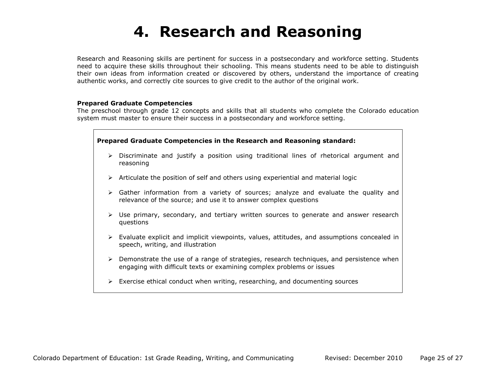# **4. Research and Reasoning**

Research and Reasoning skills are pertinent for success in a postsecondary and workforce setting. Students need to acquire these skills throughout their schooling. This means students need to be able to distinguish their own ideas from information created or discovered by others, understand the importance of creating authentic works, and correctly cite sources to give credit to the author of the original work.

#### **Prepared Graduate Competencies**

The preschool through grade 12 concepts and skills that all students who complete the Colorado education system must master to ensure their success in a postsecondary and workforce setting.

| Prepared Graduate Competencies in the Research and Reasoning standard: |                                                                                                                                                                        |  |
|------------------------------------------------------------------------|------------------------------------------------------------------------------------------------------------------------------------------------------------------------|--|
|                                                                        | $\triangleright$ Discriminate and justify a position using traditional lines of rhetorical argument and<br>reasoning                                                   |  |
|                                                                        | $\triangleright$ Articulate the position of self and others using experiential and material logic                                                                      |  |
|                                                                        | $\triangleright$ Gather information from a variety of sources; analyze and evaluate the quality and<br>relevance of the source; and use it to answer complex questions |  |
|                                                                        | $\triangleright$ Use primary, secondary, and tertiary written sources to generate and answer research<br>questions                                                     |  |
|                                                                        | $\triangleright$ Evaluate explicit and implicit viewpoints, values, attitudes, and assumptions concealed in<br>speech, writing, and illustration                       |  |
| $\triangleright$                                                       | Demonstrate the use of a range of strategies, research techniques, and persistence when<br>engaging with difficult texts or examining complex problems or issues       |  |
| ➤                                                                      | Exercise ethical conduct when writing, researching, and documenting sources                                                                                            |  |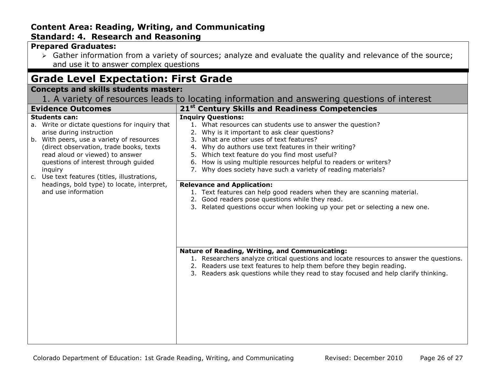## **Content Area: Reading, Writing, and Communicating Standard: 4. Research and Reasoning**

#### **Prepared Graduates:** Gather information from a variety of sources; analyze and evaluate the quality and relevance of the source; and use it to answer complex questions **Grade Level Expectation: First Grade Concepts and skills students master:** 1. A variety of resources leads to locating information and answering questions of interest **Evidence Outcomes 21st Century Skills and Readiness Competencies Students can:** a. Write or dictate questions for inquiry that arise during instruction b. With peers, use a variety of resources (direct observation, trade books, texts read aloud or viewed) to answer questions of interest through guided inquiry c. Use text features (titles, illustrations, headings, bold type) to locate, interpret, and use information **Inquiry Questions:**  1. What resources can students use to answer the question? 2. Why is it important to ask clear questions? 3. What are other uses of text features? 4. Why do authors use text features in their writing? 5. Which text feature do you find most useful? 6. How is using multiple resources helpful to readers or writers? 7. Why does society have such a variety of reading materials? **Relevance and Application:** 1. Text features can help good readers when they are scanning material. 2. Good readers pose questions while they read.

3. Related questions occur when looking up your pet or selecting a new one.

## **Nature of Reading, Writing, and Communicating:**

- 1. Researchers analyze critical questions and locate resources to answer the questions.
- 2. Readers use text features to help them before they begin reading.
- 3. Readers ask questions while they read to stay focused and help clarify thinking.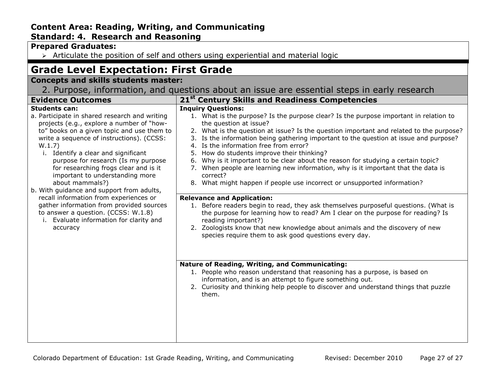## **Content Area: Reading, Writing, and Communicating**

**Standard: 4. Research and Reasoning**

## **Prepared Graduates:**

Articulate the position of self and others using experiential and material logic

# **Grade Level Expectation: First Grade**

## **Concepts and skills students master:**

2. Purpose, information, and questions about an issue are essential steps in early research

|                                                                                                                                                                                                                                                                                                                                                                                                                                                   | 2. Turpose, information, and gaestions about an issue are essential steps in early research                                                                                                                                                                                                                                                                                                                                                                                                                                                                                                                                                                                                |
|---------------------------------------------------------------------------------------------------------------------------------------------------------------------------------------------------------------------------------------------------------------------------------------------------------------------------------------------------------------------------------------------------------------------------------------------------|--------------------------------------------------------------------------------------------------------------------------------------------------------------------------------------------------------------------------------------------------------------------------------------------------------------------------------------------------------------------------------------------------------------------------------------------------------------------------------------------------------------------------------------------------------------------------------------------------------------------------------------------------------------------------------------------|
| <b>Evidence Outcomes</b>                                                                                                                                                                                                                                                                                                                                                                                                                          | 21 <sup>st</sup> Century Skills and Readiness Competencies                                                                                                                                                                                                                                                                                                                                                                                                                                                                                                                                                                                                                                 |
| <b>Students can:</b><br>a. Participate in shared research and writing<br>projects (e.g., explore a number of "how-<br>to" books on a given topic and use them to<br>write a sequence of instructions). (CCSS:<br>W.1.7)<br>i. Identify a clear and significant<br>purpose for research (Is my purpose<br>for researching frogs clear and is it<br>important to understanding more<br>about mammals?)<br>b. With guidance and support from adults, | <b>Inquiry Questions:</b><br>1. What is the purpose? Is the purpose clear? Is the purpose important in relation to<br>the question at issue?<br>2. What is the question at issue? Is the question important and related to the purpose?<br>3. Is the information being gathering important to the question at issue and purpose?<br>4. Is the information free from error?<br>How do students improve their thinking?<br>Why is it important to be clear about the reason for studying a certain topic?<br>6.<br>7. When people are learning new information, why is it important that the data is<br>correct?<br>8. What might happen if people use incorrect or unsupported information? |
| recall information from experiences or<br>gather information from provided sources<br>to answer a question. (CCSS: W.1.8)<br>Evaluate information for clarity and<br>accuracy                                                                                                                                                                                                                                                                     | <b>Relevance and Application:</b><br>1. Before readers begin to read, they ask themselves purposeful questions. (What is<br>the purpose for learning how to read? Am I clear on the purpose for reading? Is<br>reading important?)<br>2. Zoologists know that new knowledge about animals and the discovery of new                                                                                                                                                                                                                                                                                                                                                                         |
|                                                                                                                                                                                                                                                                                                                                                                                                                                                   | species require them to ask good questions every day.<br><b>Nature of Reading, Writing, and Communicating:</b><br>1. People who reason understand that reasoning has a purpose, is based on<br>information, and is an attempt to figure something out.<br>2. Curiosity and thinking help people to discover and understand things that puzzle<br>them.                                                                                                                                                                                                                                                                                                                                     |